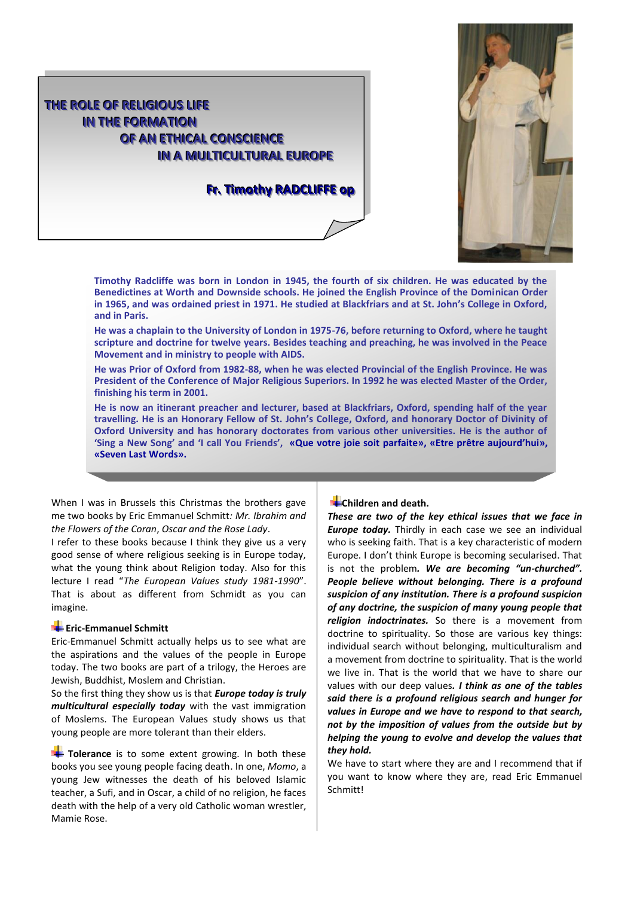



**Timothy Radcliffe was born in London in 1945, the fourth of six children. He was educated by the Benedictines at Worth and Downside schools. He joined the English Province of the Dominican Order in 1965, and was ordained priest in 1971. He studied at Blackfriars and at St. John's College in Oxford, and in Paris.**

**He was a chaplain to the University of London in 1975-76, before returning to Oxford, where he taught scripture and doctrine for twelve years. Besides teaching and preaching, he was involved in the Peace Movement and in ministry to people with AIDS.**

**He was Prior of Oxford from 1982-88, when he was elected Provincial of the English Province. He was President of the Conference of Major Religious Superiors. In 1992 he was elected Master of the Order, finishing his term in 2001.**

**He is now an itinerant preacher and lecturer, based at Blackfriars, Oxford, spending half of the year travelling. He is an Honorary Fellow of St. John's College, Oxford, and honorary Doctor of Divinity of Oxford University and has honorary doctorates from various other universities. He is the author of 'Sing a New Song' and 'I call You Friends', «Que votre joie soit parfaite», «Etre prêtre aujourd'hui», «Seven Last Words».**

When I was in Brussels this Christmas the brothers gave me two books by Eric Emmanuel Schmitt*: Mr. Ibrahim and the Flowers of the Coran*, *Oscar and the Rose Lady*.

I refer to these books because I think they give us a very good sense of where religious seeking is in Europe today, what the young think about Religion today. Also for this lecture I read "*The European Values study 1981-1990*". That is about as different from Schmidt as you can imagine.

## **Example** Eric-Emmanuel Schmitt

Eric-Emmanuel Schmitt actually helps us to see what are the aspirations and the values of the people in Europe today. The two books are part of a trilogy, the Heroes are Jewish, Buddhist, Moslem and Christian.

So the first thing they show us is that *Europe today is truly multicultural especially today* with the vast immigration of Moslems. The European Values study shows us that young people are more tolerant than their elders.

**Tolerance** is to some extent growing. In both these books you see young people facing death. In one, *Momo*, a young Jew witnesses the death of his beloved Islamic teacher, a Sufi, and in Oscar, a child of no religion, he faces death with the help of a very old Catholic woman wrestler, Mamie Rose.

# **E**-Children and death.

*These are two of the key ethical issues that we face in Europe today.* Thirdly in each case we see an individual who is seeking faith. That is a key characteristic of modern Europe. I don't think Europe is becoming secularised. That is not the problem*. We are becoming "un-churched". People believe without belonging. There is a profound suspicion of any institution. There is a profound suspicion of any doctrine, the suspicion of many young people that religion indoctrinates.* So there is a movement from doctrine to spirituality. So those are various key things: individual search without belonging, multiculturalism and a movement from doctrine to spirituality. That is the world we live in. That is the world that we have to share our values with our deep values*. I think as one of the tables said there is a profound religious search and hunger for values in Europe and we have to respond to that search, not by the imposition of values from the outside but by helping the young to evolve and develop the values that they hold.* 

We have to start where they are and I recommend that if you want to know where they are, read Eric Emmanuel Schmitt!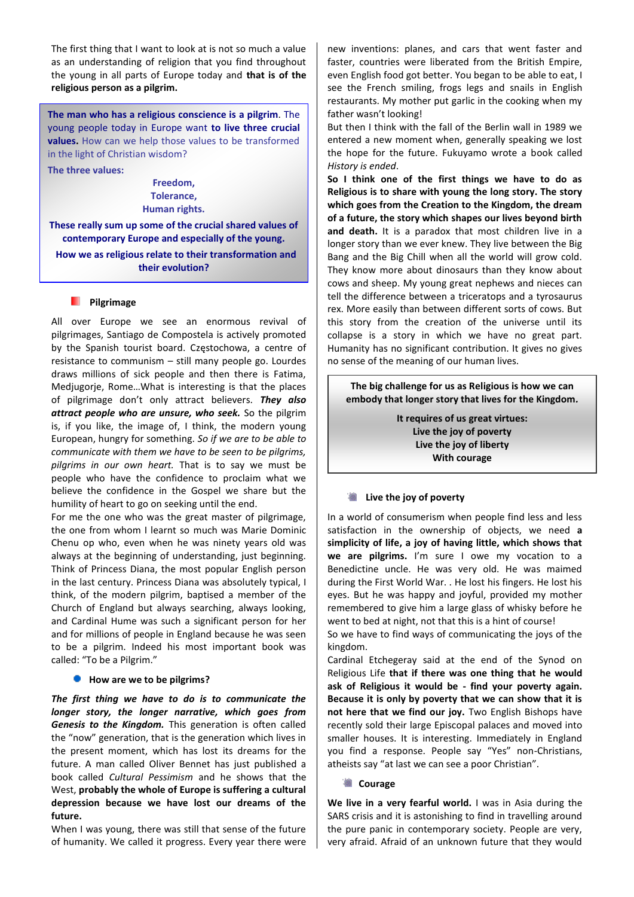The first thing that I want to look at is not so much a value as an understanding of religion that you find throughout the young in all parts of Europe today and **that is of the religious person as a pilgrim.**

**The man who has a religious conscience is a pilgrim**. The young people today in Europe want **to live three crucial values.** How can we help those values to be transformed in the light of Christian wisdom?

**The three values:**

**Freedom, Tolerance, Human rights.**

**These really sum up some of the crucial shared values of contemporary Europe and especially of the young.** 

 **How we as religious relate to their transformation and their evolution?**

#### **Pilgrimage**

All over Europe we see an enormous revival of pilgrimages, Santiago de Compostela is actively promoted by the Spanish tourist board. Częstochowa, a centre of resistance to communism – still many people go. Lourdes draws millions of sick people and then there is Fatima, Medjugorje, Rome…What is interesting is that the places of pilgrimage don't only attract believers. *They also attract people who are unsure, who seek.* So the pilgrim is, if you like, the image of, I think, the modern young European, hungry for something. *So if we are to be able to communicate with them we have to be seen to be pilgrims, pilgrims in our own heart.* That is to say we must be people who have the confidence to proclaim what we believe the confidence in the Gospel we share but the humility of heart to go on seeking until the end.

For me the one who was the great master of pilgrimage, the one from whom I learnt so much was Marie Dominic Chenu op who, even when he was ninety years old was always at the beginning of understanding, just beginning. Think of Princess Diana, the most popular English person in the last century. Princess Diana was absolutely typical, I think, of the modern pilgrim, baptised a member of the Church of England but always searching, always looking, and Cardinal Hume was such a significant person for her and for millions of people in England because he was seen to be a pilgrim. Indeed his most important book was called: "To be a Pilgrim."

## **How are we to be pilgrims?**

*The first thing we have to do is to communicate the longer story, the longer narrative, which goes from Genesis to the Kingdom.* This generation is often called the "now" generation, that is the generation which lives in the present moment, which has lost its dreams for the future. A man called Oliver Bennet has just published a book called *Cultural Pessimism* and he shows that the West, **probably the whole of Europe is suffering a cultural depression because we have lost our dreams of the future.**

When I was young, there was still that sense of the future of humanity. We called it progress. Every year there were new inventions: planes, and cars that went faster and faster, countries were liberated from the British Empire, even English food got better. You began to be able to eat, I see the French smiling, frogs legs and snails in English restaurants. My mother put garlic in the cooking when my father wasn't looking!

But then I think with the fall of the Berlin wall in 1989 we entered a new moment when, generally speaking we lost the hope for the future. Fukuyamo wrote a book called *History is ended*.

**So I think one of the first things we have to do as Religious is to share with young the long story. The story which goes from the Creation to the Kingdom, the dream of a future, the story which shapes our lives beyond birth and death.** It is a paradox that most children live in a longer story than we ever knew. They live between the Big Bang and the Big Chill when all the world will grow cold. They know more about dinosaurs than they know about cows and sheep. My young great nephews and nieces can tell the difference between a triceratops and a tyrosaurus rex. More easily than between different sorts of cows. But this story from the creation of the universe until its collapse is a story in which we have no great part. Humanity has no significant contribution. It gives no gives no sense of the meaning of our human lives.

**The big challenge for us as Religious is how we can embody that longer story that lives for the Kingdom***.*

> **It requires of us great virtues: Live the joy of poverty Live the joy of liberty With courage**

## **Example 1** Live the joy of poverty

In a world of consumerism when people find less and less satisfaction in the ownership of objects, we need **a simplicity of life, a joy of having little, which shows that we are pilgrims.** I'm sure I owe my vocation to a Benedictine uncle. He was very old. He was maimed during the First World War. . He lost his fingers. He lost his eyes. But he was happy and joyful, provided my mother remembered to give him a large glass of whisky before he went to bed at night, not that this is a hint of course!

So we have to find ways of communicating the joys of the kingdom.

Cardinal Etchegeray said at the end of the Synod on Religious Life **that if there was one thing that he would ask of Religious it would be - find your poverty again. Because it is only by poverty that we can show that it is not here that we find our joy.** Two English Bishops have recently sold their large Episcopal palaces and moved into smaller houses. It is interesting. Immediately in England you find a response. People say "Yes" non-Christians, atheists say "at last we can see a poor Christian".

#### **● Courage**

**We live in a very fearful world.** I was in Asia during the SARS crisis and it is astonishing to find in travelling around the pure panic in contemporary society. People are very, very afraid. Afraid of an unknown future that they would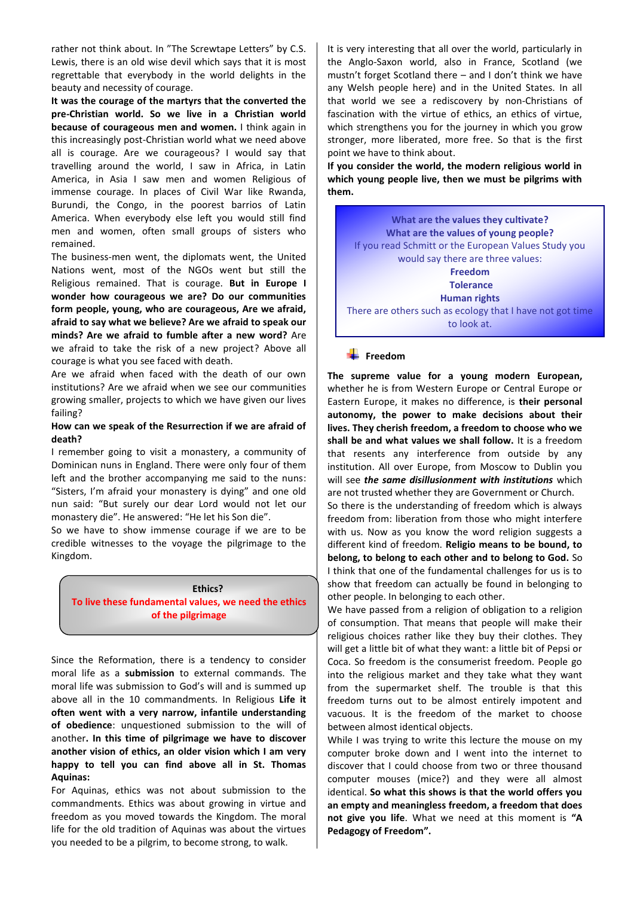rather not think about. In "The Screwtape Letters" by C.S. Lewis, there is an old wise devil which says that it is most regrettable that everybody in the world delights in the beauty and necessity of courage.

**It was the courage of the martyrs that the converted the pre-Christian world. So we live in a Christian world because of courageous men and women.** I think again in this increasingly post-Christian world what we need above all is courage. Are we courageous? I would say that travelling around the world, I saw in Africa, in Latin America, in Asia I saw men and women Religious of immense courage. In places of Civil War like Rwanda, Burundi, the Congo, in the poorest barrios of Latin America. When everybody else left you would still find men and women, often small groups of sisters who remained.

The business-men went, the diplomats went, the United Nations went, most of the NGOs went but still the Religious remained. That is courage. **But in Europe I wonder how courageous we are? Do our communities form people, young, who are courageous, Are we afraid, afraid to say what we believe? Are we afraid to speak our minds? Are we afraid to fumble after a new word?** Are we afraid to take the risk of a new project? Above all courage is what you see faced with death.

Are we afraid when faced with the death of our own institutions? Are we afraid when we see our communities growing smaller, projects to which we have given our lives failing?

# **How can we speak of the Resurrection if we are afraid of death?**

I remember going to visit a monastery, a community of Dominican nuns in England. There were only four of them left and the brother accompanying me said to the nuns: "Sisters, I'm afraid your monastery is dying" and one old nun said: "But surely our dear Lord would not let our monastery die". He answered: "He let his Son die".

So we have to show immense courage if we are to be credible witnesses to the voyage the pilgrimage to the Kingdom.

#### **Ethics?**

**To live these fundamental values, we need the ethics of the pilgrimage**

Since the Reformation, there is a tendency to consider moral life as a **submission** to external commands. The moral life was submission to God's will and is summed up above all in the 10 commandments. In Religious **Life it often went with a very narrow, infantile understanding of obedience**: unquestioned submission to the will of another**. In this time of pilgrimage we have to discover another vision of ethics, an older vision which I am very happy to tell you can find above all in St. Thomas Aquinas:**

For Aquinas, ethics was not about submission to the commandments. Ethics was about growing in virtue and freedom as you moved towards the Kingdom. The moral life for the old tradition of Aquinas was about the virtues you needed to be a pilgrim, to become strong, to walk.

It is very interesting that all over the world, particularly in the Anglo-Saxon world, also in France, Scotland (we mustn't forget Scotland there – and I don't think we have any Welsh people here) and in the United States. In all that world we see a rediscovery by non-Christians of fascination with the virtue of ethics, an ethics of virtue, which strengthens you for the journey in which you grow stronger, more liberated, more free. So that is the first point we have to think about.

**If you consider the world, the modern religious world in which young people live, then we must be pilgrims with them.** 

**What are the values they cultivate? What are the values of young people?**  If you read Schmitt or the European Values Study you would say there are three values: **Freedom Tolerance Human rights** There are others such as ecology that I have not got time to look at.

# **Freedom**

**The supreme value for a young modern European,** whether he is from Western Europe or Central Europe or Eastern Europe, it makes no difference, is **their personal autonomy, the power to make decisions about their lives. They cherish freedom, a freedom to choose who we shall be and what values we shall follow.** It is a freedom that resents any interference from outside by any institution. All over Europe, from Moscow to Dublin you will see *the same disillusionment with institutions* which are not trusted whether they are Government or Church.

So there is the understanding of freedom which is always freedom from: liberation from those who might interfere with us. Now as you know the word religion suggests a different kind of freedom. **Religio means to be bound, to belong, to belong to each other and to belong to God.** So I think that one of the fundamental challenges for us is to show that freedom can actually be found in belonging to other people. In belonging to each other.

We have passed from a religion of obligation to a religion of consumption. That means that people will make their religious choices rather like they buy their clothes. They will get a little bit of what they want: a little bit of Pepsi or Coca. So freedom is the consumerist freedom. People go into the religious market and they take what they want from the supermarket shelf. The trouble is that this freedom turns out to be almost entirely impotent and vacuous. It is the freedom of the market to choose between almost identical objects.

While I was trying to write this lecture the mouse on my computer broke down and I went into the internet to discover that I could choose from two or three thousand computer mouses (mice?) and they were all almost identical. **So what this shows is that the world offers you an empty and meaningless freedom, a freedom that does not give you life**. What we need at this moment is **"A Pedagogy of Freedom".**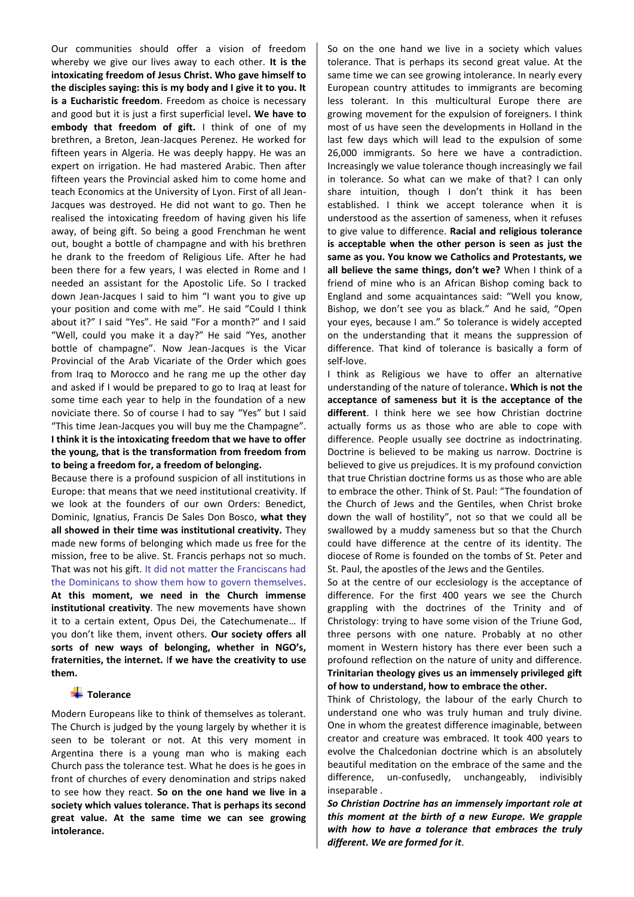Our communities should offer a vision of freedom whereby we give our lives away to each other. **It is the intoxicating freedom of Jesus Christ. Who gave himself to the disciples saying: this is my body and I give it to you. It is a Eucharistic freedom**. Freedom as choice is necessary and good but it is just a first superficial level**. We have to embody that freedom of gift.** I think of one of my brethren, a Breton, Jean-Jacques Perenez. He worked for fifteen years in Algeria. He was deeply happy. He was an expert on irrigation. He had mastered Arabic. Then after fifteen years the Provincial asked him to come home and teach Economics at the University of Lyon. First of all Jean-Jacques was destroyed. He did not want to go. Then he realised the intoxicating freedom of having given his life away, of being gift. So being a good Frenchman he went out, bought a bottle of champagne and with his brethren he drank to the freedom of Religious Life. After he had been there for a few years, I was elected in Rome and I needed an assistant for the Apostolic Life. So I tracked down Jean-Jacques I said to him "I want you to give up your position and come with me". He said "Could I think about it?" I said "Yes". He said "For a month?" and I said "Well, could you make it a day?" He said "Yes, another bottle of champagne". Now Jean-Jacques is the Vicar Provincial of the Arab Vicariate of the Order which goes from Iraq to Morocco and he rang me up the other day and asked if I would be prepared to go to Iraq at least for some time each year to help in the foundation of a new noviciate there. So of course I had to say "Yes" but I said "This time Jean-Jacques you will buy me the Champagne". **I think it is the intoxicating freedom that we have to offer the young, that is the transformation from freedom from to being a freedom for, a freedom of belonging.**

Because there is a profound suspicion of all institutions in Europe: that means that we need institutional creativity. If we look at the founders of our own Orders: Benedict, Dominic, Ignatius, Francis De Sales Don Bosco, **what they all showed in their time was institutional creativity.** They made new forms of belonging which made us free for the mission, free to be alive. St. Francis perhaps not so much. That was not his gift. It did not matter the Franciscans had the Dominicans to show them how to govern themselves. **At this moment, we need in the Church immense institutional creativity**. The new movements have shown it to a certain extent, Opus Dei, the Catechumenate… If you don't like them, invent others. **Our society offers all sorts of new ways of belonging, whether in NGO's, fraternities, the internet.** I**f we have the creativity to use them.**

## **Tolerance**

Modern Europeans like to think of themselves as tolerant. The Church is judged by the young largely by whether it is seen to be tolerant or not. At this very moment in Argentina there is a young man who is making each Church pass the tolerance test. What he does is he goes in front of churches of every denomination and strips naked to see how they react. **So on the one hand we live in a society which values tolerance. That is perhaps its second great value. At the same time we can see growing intolerance.**

So on the one hand we live in a society which values tolerance. That is perhaps its second great value. At the same time we can see growing intolerance. In nearly every European country attitudes to immigrants are becoming less tolerant. In this multicultural Europe there are growing movement for the expulsion of foreigners. I think most of us have seen the developments in Holland in the last few days which will lead to the expulsion of some 26,000 immigrants. So here we have a contradiction. Increasingly we value tolerance though increasingly we fail in tolerance. So what can we make of that? I can only share intuition, though I don't think it has been established. I think we accept tolerance when it is understood as the assertion of sameness, when it refuses to give value to difference. **Racial and religious tolerance is acceptable when the other person is seen as just the same as you. You know we Catholics and Protestants, we all believe the same things, don't we?** When I think of a friend of mine who is an African Bishop coming back to England and some acquaintances said: "Well you know, Bishop, we don't see you as black." And he said, "Open your eyes, because I am." So tolerance is widely accepted on the understanding that it means the suppression of difference. That kind of tolerance is basically a form of self-love.

I think as Religious we have to offer an alternative understanding of the nature of tolerance**. Which is not the acceptance of sameness but it is the acceptance of the different**. I think here we see how Christian doctrine actually forms us as those who are able to cope with difference. People usually see doctrine as indoctrinating. Doctrine is believed to be making us narrow. Doctrine is believed to give us prejudices. It is my profound conviction that true Christian doctrine forms us as those who are able to embrace the other. Think of St. Paul: "The foundation of the Church of Jews and the Gentiles, when Christ broke down the wall of hostility", not so that we could all be swallowed by a muddy sameness but so that the Church could have difference at the centre of its identity. The diocese of Rome is founded on the tombs of St. Peter and St. Paul, the apostles of the Jews and the Gentiles.

So at the centre of our ecclesiology is the acceptance of difference. For the first 400 years we see the Church grappling with the doctrines of the Trinity and of Christology: trying to have some vision of the Triune God, three persons with one nature. Probably at no other moment in Western history has there ever been such a profound reflection on the nature of unity and difference. **Trinitarian theology gives us an immensely privileged gift of how to understand, how to embrace the other.**

Think of Christology, the labour of the early Church to understand one who was truly human and truly divine. One in whom the greatest difference imaginable, between creator and creature was embraced. It took 400 years to evolve the Chalcedonian doctrine which is an absolutely beautiful meditation on the embrace of the same and the difference, un-confusedly, unchangeably, indivisibly inseparable .

*So Christian Doctrine has an immensely important role at this moment at the birth of a new Europe. We grapple with how to have a tolerance that embraces the truly different. We are formed for it*.